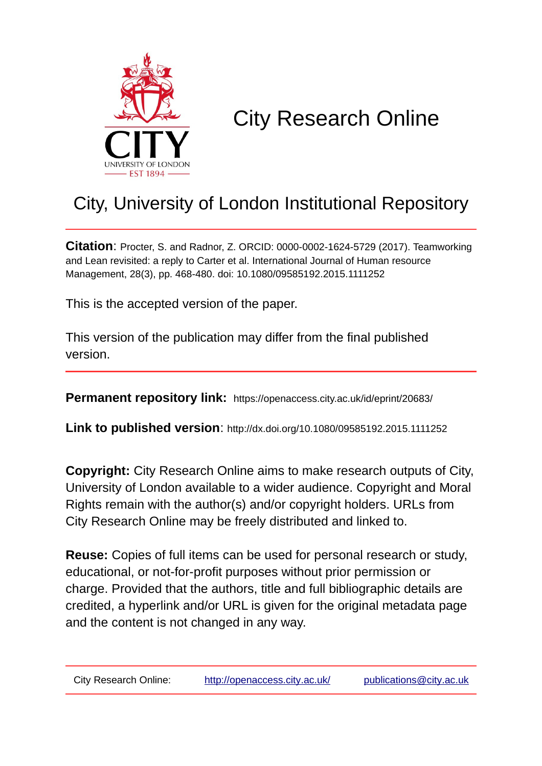

# City Research Online

## City, University of London Institutional Repository

**Citation**: Procter, S. and Radnor, Z. ORCID: 0000-0002-1624-5729 (2017). Teamworking and Lean revisited: a reply to Carter et al. International Journal of Human resource Management, 28(3), pp. 468-480. doi: 10.1080/09585192.2015.1111252

This is the accepted version of the paper.

This version of the publication may differ from the final published version.

**Permanent repository link:** https://openaccess.city.ac.uk/id/eprint/20683/

**Link to published version**: http://dx.doi.org/10.1080/09585192.2015.1111252

**Copyright:** City Research Online aims to make research outputs of City, University of London available to a wider audience. Copyright and Moral Rights remain with the author(s) and/or copyright holders. URLs from City Research Online may be freely distributed and linked to.

**Reuse:** Copies of full items can be used for personal research or study, educational, or not-for-profit purposes without prior permission or charge. Provided that the authors, title and full bibliographic details are credited, a hyperlink and/or URL is given for the original metadata page and the content is not changed in any way.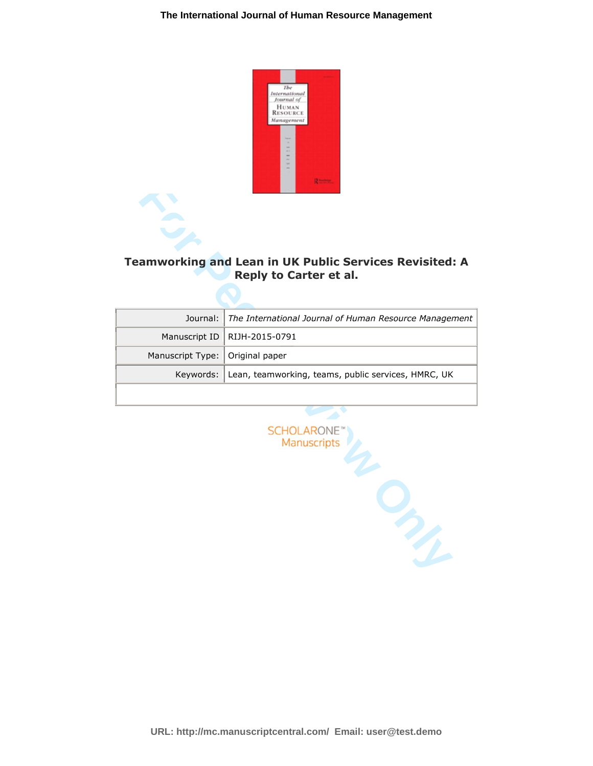

#### **Teamworking and Lean in UK Public Services Revisited: A Reply to Carter et al.**

|                                   | Journal: The International Journal of Human Resource Management |
|-----------------------------------|-----------------------------------------------------------------|
|                                   | Manuscript ID   RIJH-2015-0791                                  |
| Manuscript Type:   Original paper |                                                                 |
|                                   | Keywords: Lean, teamworking, teams, public services, HMRC, UK   |
|                                   |                                                                 |

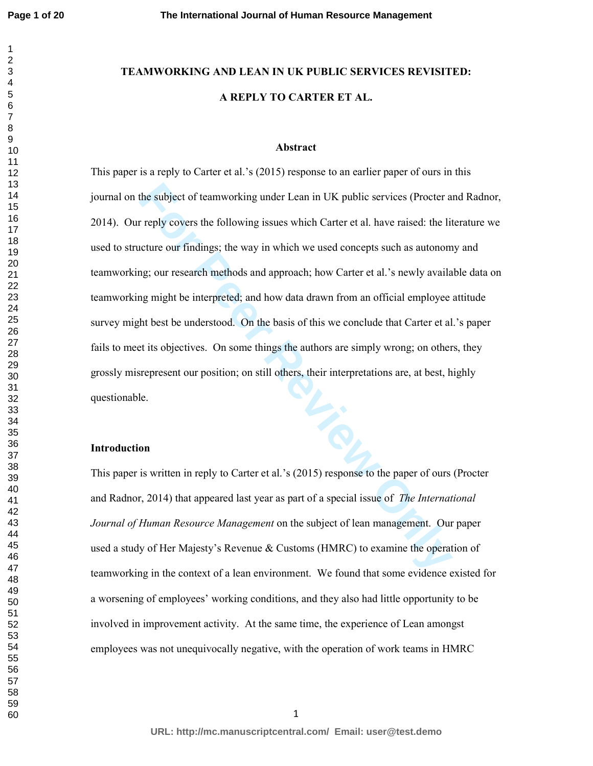**Page 1 of 20**

### **TEAMWORKING AND LEAN IN UK PUBLIC SERVICES REVISITED: A REPLY TO CARTER ET AL.**

#### **Abstract**

the subject of teamworking under Lean in UK public services (Procter a<br> **For Perly covers the following issues which Carter et al.** have raised: the life<br>
neture our findings; the way in which we used concepts such as auto This paper is a reply to Carter et al.'s (2015) response to an earlier paper of ours in this journal on the subject of teamworking under Lean in UK public services (Procter and Radnor, 2014). Our reply covers the following issues which Carter et al. have raised: the literature we used to structure our findings; the way in which we used concepts such as autonomy and teamworking; our research methods and approach; how Carter et al.'s newly available data on teamworking might be interpreted; and how data drawn from an official employee attitude survey might best be understood. On the basis of this we conclude that Carter et al.'s paper fails to meet its objectives. On some things the authors are simply wrong; on others, they grossly misrepresent our position; on still others, their interpretations are, at best, highly questionable.

#### **Introduction**

This paper is written in reply to Carter et al.'s (2015) response to the paper of ours (Procter and Radnor, 2014) that appeared last year as part of a special issue of *The International Journal of Human Resource Management* on the subject of lean management. Our paper used a study of Her Majesty's Revenue & Customs (HMRC) to examine the operation of teamworking in the context of a lean environment. We found that some evidence existed for a worsening of employees' working conditions, and they also had little opportunity to be involved in improvement activity. At the same time, the experience of Lean amongst employees was not unequivocally negative, with the operation of work teams in HMRC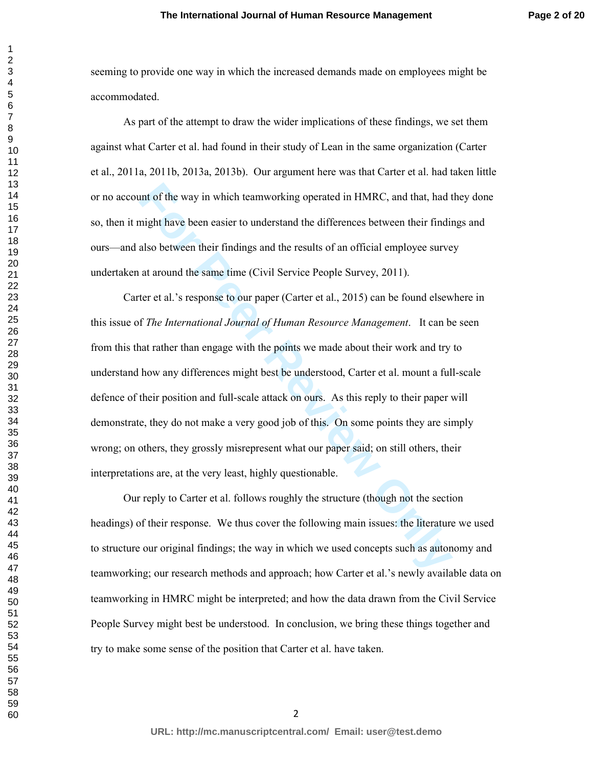seeming to provide one way in which the increased demands made on employees might be accommodated.

 As part of the attempt to draw the wider implications of these findings, we set them against what Carter et al. had found in their study of Lean in the same organization (Carter et al., 2011a, 2011b, 2013a, 2013b). Our argument here was that Carter et al. had taken little or no account of the way in which teamworking operated in HMRC, and that, had they done so, then it might have been easier to understand the differences between their findings and ours—and also between their findings and the results of an official employee survey undertaken at around the same time (Civil Service People Survey, 2011).

ant of the way in which teamworking operated in HMRC, and that, had thight have been easier to understand the differences between their findin also between their findings and the results of an official employee surve at ar Carter et al.'s response to our paper (Carter et al., 2015) can be found elsewhere in this issue of *The International Journal of Human Resource Management*. It can be seen from this that rather than engage with the points we made about their work and try to understand how any differences might best be understood, Carter et al. mount a full-scale defence of their position and full-scale attack on ours. As this reply to their paper will demonstrate, they do not make a very good job of this. On some points they are simply wrong; on others, they grossly misrepresent what our paper said; on still others, their interpretations are, at the very least, highly questionable.

 Our reply to Carter et al. follows roughly the structure (though not the section headings) of their response. We thus cover the following main issues: the literature we used to structure our original findings; the way in which we used concepts such as autonomy and teamworking; our research methods and approach; how Carter et al.'s newly available data on teamworking in HMRC might be interpreted; and how the data drawn from the Civil Service People Survey might best be understood. In conclusion, we bring these things together and try to make some sense of the position that Carter et al. have taken.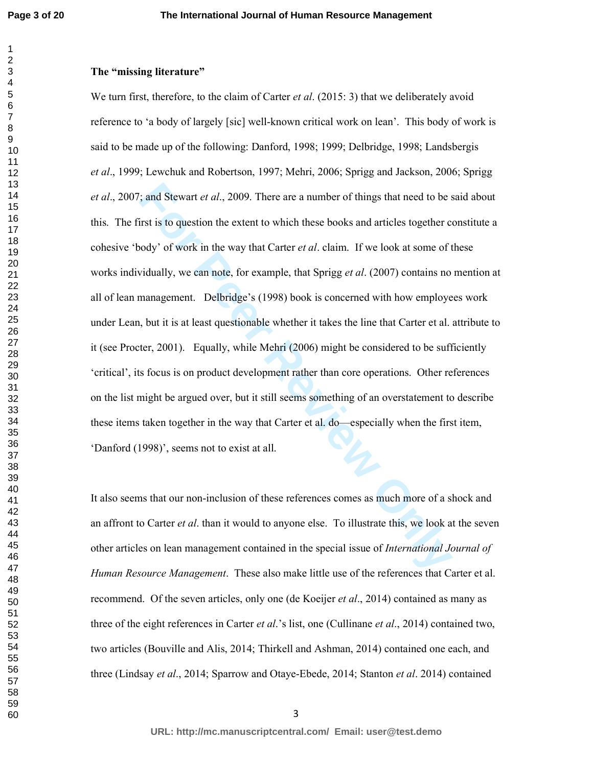**Page 3 of 20**

#### **The "missing literature"**

cannot at al., 2009. There are a number of things that need to be s<br>
first is to question the extent to which these books and articles together coody' of work in the way that Carter *et al.* claim. If we look at some of t<br> We turn first, therefore, to the claim of Carter *et al*. (2015: 3) that we deliberately avoid reference to 'a body of largely [sic] well-known critical work on lean'. This body of work is said to be made up of the following: Danford, 1998; 1999; Delbridge, 1998; Landsbergis *et al*., 1999; Lewchuk and Robertson, 1997; Mehri, 2006; Sprigg and Jackson, 2006; Sprigg *et al*., 2007; and Stewart *et al*., 2009. There are a number of things that need to be said about this. The first is to question the extent to which these books and articles together constitute a cohesive 'body' of work in the way that Carter *et al*. claim. If we look at some of these works individually, we can note, for example, that Sprigg *et al*. (2007) contains no mention at all of lean management. Delbridge's (1998) book is concerned with how employees work under Lean, but it is at least questionable whether it takes the line that Carter et al. attribute to it (see Procter, 2001). Equally, while Mehri (2006) might be considered to be sufficiently 'critical', its focus is on product development rather than core operations. Other references on the list might be argued over, but it still seems something of an overstatement to describe these items taken together in the way that Carter et al. do—especially when the first item, 'Danford (1998)', seems not to exist at all.

It also seems that our non-inclusion of these references comes as much more of a shock and an affront to Carter *et al*. than it would to anyone else. To illustrate this, we look at the seven other articles on lean management contained in the special issue of *International Journal of Human Resource Management*. These also make little use of the references that Carter et al. recommend. Of the seven articles, only one (de Koeijer *et al*., 2014) contained as many as three of the eight references in Carter *et al*.'s list, one (Cullinane *et al*., 2014) contained two, two articles (Bouville and Alis, 2014; Thirkell and Ashman, 2014) contained one each, and three (Lindsay *et al*., 2014; Sparrow and Otaye-Ebede, 2014; Stanton *et al*. 2014) contained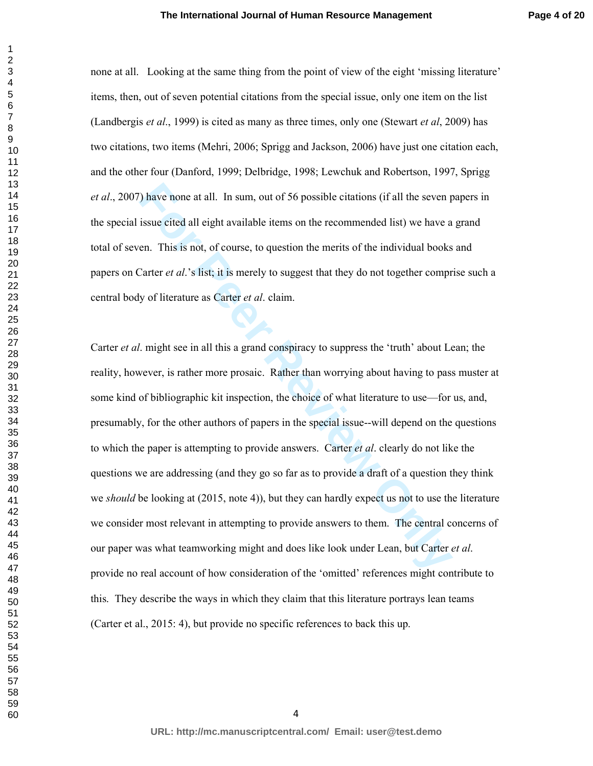none at all. Looking at the same thing from the point of view of the eight 'missing literature' items, then, out of seven potential citations from the special issue, only one item on the list (Landbergis *et al*., 1999) is cited as many as three times, only one (Stewart *et al*, 2009) has two citations, two items (Mehri, 2006; Sprigg and Jackson, 2006) have just one citation each, and the other four (Danford, 1999; Delbridge, 1998; Lewchuk and Robertson, 1997, Sprigg *et al*., 2007) have none at all. In sum, out of 56 possible citations (if all the seven papers in the special issue cited all eight available items on the recommended list) we have a grand total of seven. This is not, of course, to question the merits of the individual books and papers on Carter *et al*.'s list; it is merely to suggest that they do not together comprise such a central body of literature as Carter *et al*. claim.

The sum and the sum, out of 56 possible citations (if all the seven pissue cited all eight available items on the recommended list) we have a en. This is not, of course, to question the merits of the individual books<sup>2</sup> C Carter *et al*. might see in all this a grand conspiracy to suppress the 'truth' about Lean; the reality, however, is rather more prosaic. Rather than worrying about having to pass muster at some kind of bibliographic kit inspection, the choice of what literature to use—for us, and, presumably, for the other authors of papers in the special issue--will depend on the questions to which the paper is attempting to provide answers. Carter *et al*. clearly do not like the questions we are addressing (and they go so far as to provide a draft of a question they think we *should* be looking at (2015, note 4)), but they can hardly expect us not to use the literature we consider most relevant in attempting to provide answers to them. The central concerns of our paper was what teamworking might and does like look under Lean, but Carter *et al*. provide no real account of how consideration of the 'omitted' references might contribute to this. They describe the ways in which they claim that this literature portrays lean teams (Carter et al., 2015: 4), but provide no specific references to back this up.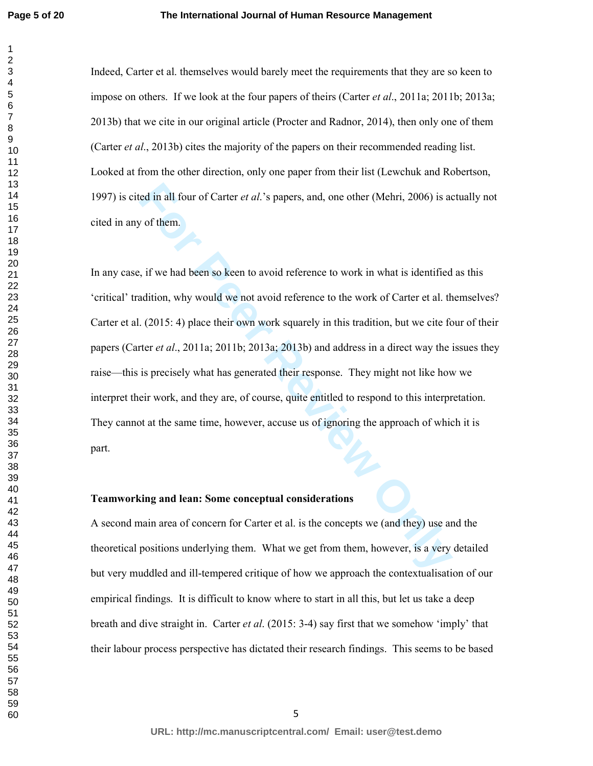Indeed, Carter et al. themselves would barely meet the requirements that they are so keen to impose on others. If we look at the four papers of theirs (Carter *et al*., 2011a; 2011b; 2013a; 2013b) that we cite in our original article (Procter and Radnor, 2014), then only one of them (Carter *et al*., 2013b) cites the majority of the papers on their recommended reading list. Looked at from the other direction, only one paper from their list (Lewchuk and Robertson, 1997) is cited in all four of Carter *et al*.'s papers, and, one other (Mehri, 2006) is actually not cited in any of them.

read in all four of Carter *et al.* 's papers, and, one other (Mehri, 2006) is active of them.<br>
For the state of the state of the state of the state of the state of the state of the state of the state of the state of the s In any case, if we had been so keen to avoid reference to work in what is identified as this 'critical' tradition, why would we not avoid reference to the work of Carter et al. themselves? Carter et al. (2015: 4) place their own work squarely in this tradition, but we cite four of their papers (Carter *et al*., 2011a; 2011b; 2013a; 2013b) and address in a direct way the issues they raise—this is precisely what has generated their response. They might not like how we interpret their work, and they are, of course, quite entitled to respond to this interpretation. They cannot at the same time, however, accuse us of ignoring the approach of which it is part.

#### **Teamworking and lean: Some conceptual considerations**

A second main area of concern for Carter et al. is the concepts we (and they) use and the theoretical positions underlying them. What we get from them, however, is a very detailed but very muddled and ill-tempered critique of how we approach the contextualisation of our empirical findings. It is difficult to know where to start in all this, but let us take a deep breath and dive straight in. Carter *et al*. (2015: 3-4) say first that we somehow 'imply' that their labour process perspective has dictated their research findings. This seems to be based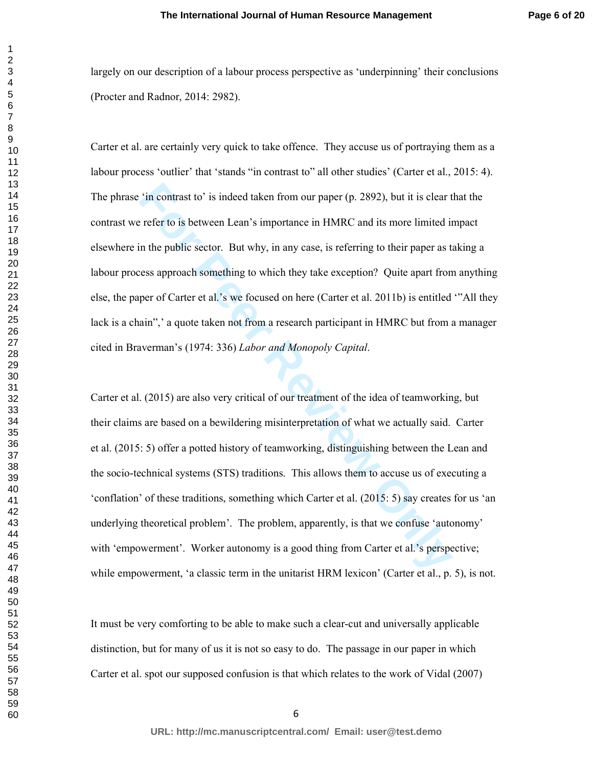largely on our description of a labour process perspective as 'underpinning' their conclusions (Procter and Radnor, 2014: 2982).

Carter et al. are certainly very quick to take offence. They accuse us of portraying them as a labour process 'outlier' that 'stands "in contrast to" all other studies' (Carter et al., 2015: 4). The phrase 'in contrast to' is indeed taken from our paper (p. 2892), but it is clear that the contrast we refer to is between Lean's importance in HMRC and its more limited impact elsewhere in the public sector. But why, in any case, is referring to their paper as taking a labour process approach something to which they take exception? Quite apart from anything else, the paper of Carter et al.'s we focused on here (Carter et al. 2011b) is entitled '"All they lack is a chain", a quote taken not from a research participant in HMRC but from a manager cited in Braverman's (1974: 336) *Labor and Monopoly Capital*.

<sup>2</sup> in contrast to' is indeed taken from our paper (p. 2892), but it is clear that the refer to is between Lean's importance in HMRC and its more limited in the public sector. But why, in any case, is referring to their p Carter et al. (2015) are also very critical of our treatment of the idea of teamworking, but their claims are based on a bewildering misinterpretation of what we actually said. Carter et al. (2015: 5) offer a potted history of teamworking, distinguishing between the Lean and the socio-technical systems (STS) traditions. This allows them to accuse us of executing a 'conflation' of these traditions, something which Carter et al. (2015: 5) say creates for us 'an underlying theoretical problem'. The problem, apparently, is that we confuse 'autonomy' with 'empowerment'. Worker autonomy is a good thing from Carter et al.'s perspective; while empowerment, 'a classic term in the unitarist HRM lexicon' (Carter et al., p. 5), is not.

It must be very comforting to be able to make such a clear-cut and universally applicable distinction, but for many of us it is not so easy to do. The passage in our paper in which Carter et al. spot our supposed confusion is that which relates to the work of Vidal (2007)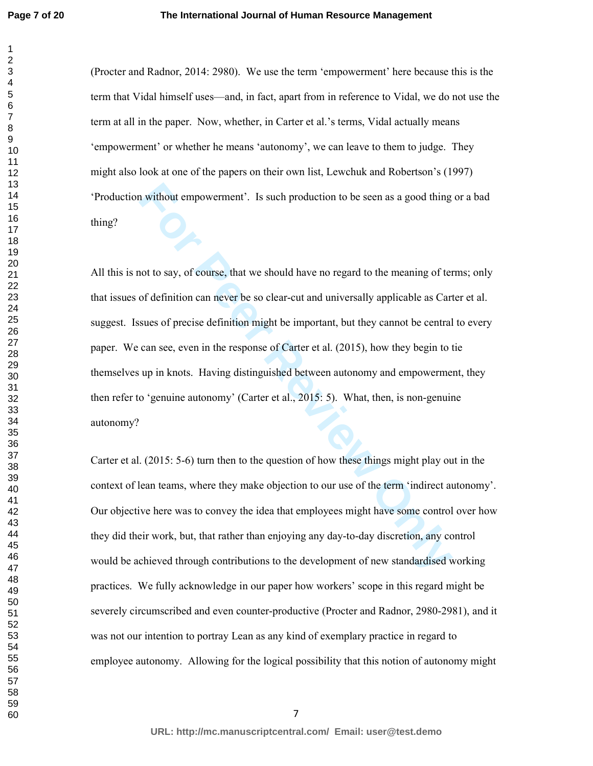#### **The International Journal of Human Resource Management**

(Procter and Radnor, 2014: 2980). We use the term 'empowerment' here because this is the term that Vidal himself uses—and, in fact, apart from in reference to Vidal, we do not use the term at all in the paper. Now, whether, in Carter et al.'s terms, Vidal actually means 'empowerment' or whether he means 'autonomy', we can leave to them to judge. They might also look at one of the papers on their own list, Lewchuk and Robertson's (1997) 'Production without empowerment'. Is such production to be seen as a good thing or a bad thing?

**For Perromannia** is such production to be seen as a good thing<br> **For the Say, of course, that we should have no regard to the meaning of term**<br> **For Say, of course, that we should have no regard to the meaning of term**<br> All this is not to say, of course, that we should have no regard to the meaning of terms; only that issues of definition can never be so clear-cut and universally applicable as Carter et al. suggest. Issues of precise definition might be important, but they cannot be central to every paper. We can see, even in the response of Carter et al. (2015), how they begin to tie themselves up in knots. Having distinguished between autonomy and empowerment, they then refer to 'genuine autonomy' (Carter et al., 2015: 5). What, then, is non-genuine autonomy?

Carter et al. (2015: 5-6) turn then to the question of how these things might play out in the context of lean teams, where they make objection to our use of the term 'indirect autonomy'. Our objective here was to convey the idea that employees might have some control over how they did their work, but, that rather than enjoying any day-to-day discretion, any control would be achieved through contributions to the development of new standardised working practices. We fully acknowledge in our paper how workers' scope in this regard might be severely circumscribed and even counter-productive (Procter and Radnor, 2980-2981), and it was not our intention to portray Lean as any kind of exemplary practice in regard to employee autonomy. Allowing for the logical possibility that this notion of autonomy might

**URL: http://mc.manuscriptcentral.com/ Email: user@test.demo**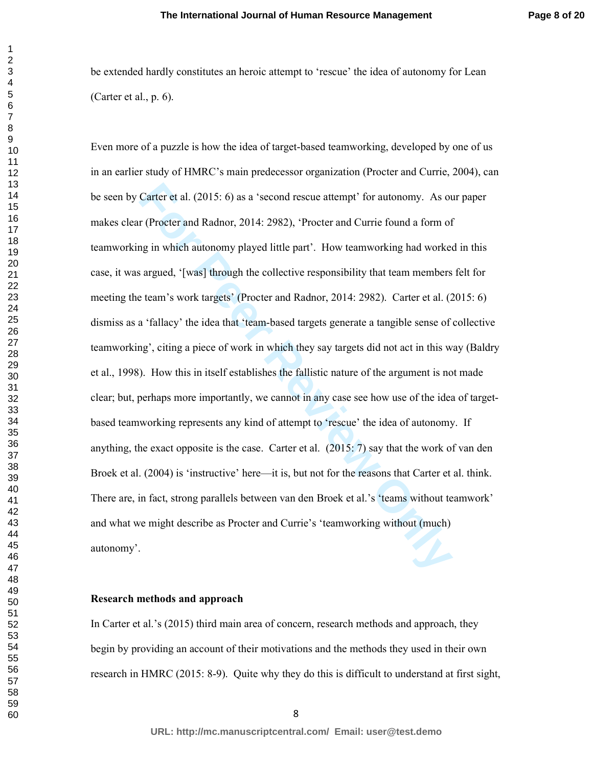be extended hardly constitutes an heroic attempt to 'rescue' the idea of autonomy for Lean (Carter et al., p. 6).

Carter et al. (2015: 6) as a 'second rescue attempt' for autonomy. As or (Procter and Radnor, 2014: 2982), 'Procter and Currie found a form of p in which autonomy played little part'. How teamworking had worked argued, '[w Even more of a puzzle is how the idea of target-based teamworking, developed by one of us in an earlier study of HMRC's main predecessor organization (Procter and Currie, 2004), can be seen by Carter et al. (2015: 6) as a 'second rescue attempt' for autonomy. As our paper makes clear (Procter and Radnor, 2014: 2982), 'Procter and Currie found a form of teamworking in which autonomy played little part'. How teamworking had worked in this case, it was argued, '[was] through the collective responsibility that team members felt for meeting the team's work targets' (Procter and Radnor, 2014: 2982). Carter et al. (2015: 6) dismiss as a 'fallacy' the idea that 'team-based targets generate a tangible sense of collective teamworking', citing a piece of work in which they say targets did not act in this way (Baldry et al., 1998). How this in itself establishes the fallistic nature of the argument is not made clear; but, perhaps more importantly, we cannot in any case see how use of the idea of targetbased teamworking represents any kind of attempt to 'rescue' the idea of autonomy. If anything, the exact opposite is the case. Carter et al. (2015: 7) say that the work of van den Broek et al. (2004) is 'instructive' here—it is, but not for the reasons that Carter et al. think. There are, in fact, strong parallels between van den Broek et al.'s 'teams without teamwork' and what we might describe as Procter and Currie's 'teamworking without (much) autonomy'.

#### **Research methods and approach**

In Carter et al.'s (2015) third main area of concern, research methods and approach, they begin by providing an account of their motivations and the methods they used in their own research in HMRC (2015: 8-9). Quite why they do this is difficult to understand at first sight,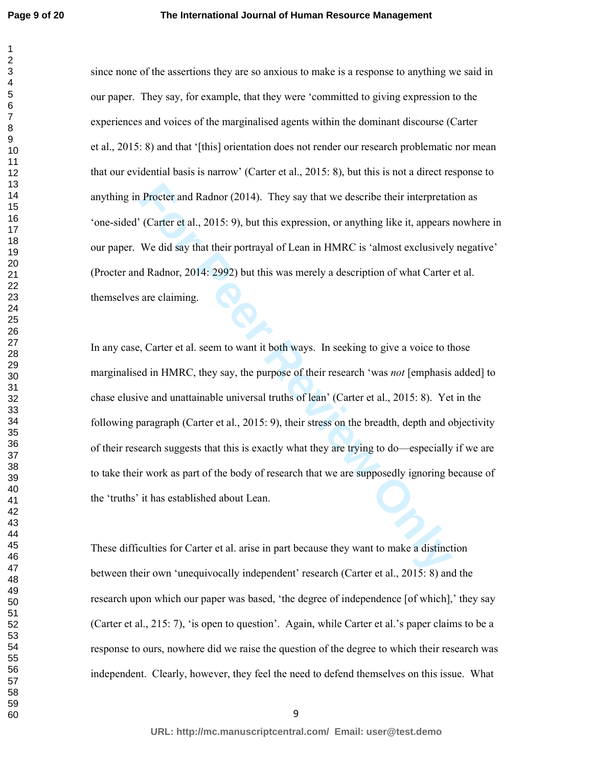since none of the assertions they are so anxious to make is a response to anything we said in our paper. They say, for example, that they were 'committed to giving expression to the experiences and voices of the marginalised agents within the dominant discourse (Carter et al., 2015: 8) and that '[this] orientation does not render our research problematic nor mean that our evidential basis is narrow' (Carter et al., 2015: 8), but this is not a direct response to anything in Procter and Radnor (2014). They say that we describe their interpretation as 'one-sided' (Carter et al., 2015: 9), but this expression, or anything like it, appears nowhere in our paper. We did say that their portrayal of Lean in HMRC is 'almost exclusively negative' (Procter and Radnor, 2014: 2992) but this was merely a description of what Carter et al. themselves are claiming.

Procter and Radnor (2014). They say that we describe their interpretative (Carter et al., 2015: 9), but this expression, or anything like it, appears We did say that their portrayal of Lean in HMRC is 'almost exclusively d In any case, Carter et al. seem to want it both ways. In seeking to give a voice to those marginalised in HMRC, they say, the purpose of their research 'was *not* [emphasis added] to chase elusive and unattainable universal truths of lean' (Carter et al., 2015: 8). Yet in the following paragraph (Carter et al., 2015: 9), their stress on the breadth, depth and objectivity of their research suggests that this is exactly what they are trying to do—especially if we are to take their work as part of the body of research that we are supposedly ignoring because of the 'truths' it has established about Lean.

These difficulties for Carter et al. arise in part because they want to make a distinction between their own 'unequivocally independent' research (Carter et al., 2015: 8) and the research upon which our paper was based, 'the degree of independence [of which],' they say (Carter et al., 215: 7), 'is open to question'. Again, while Carter et al.'s paper claims to be a response to ours, nowhere did we raise the question of the degree to which their research was independent. Clearly, however, they feel the need to defend themselves on this issue. What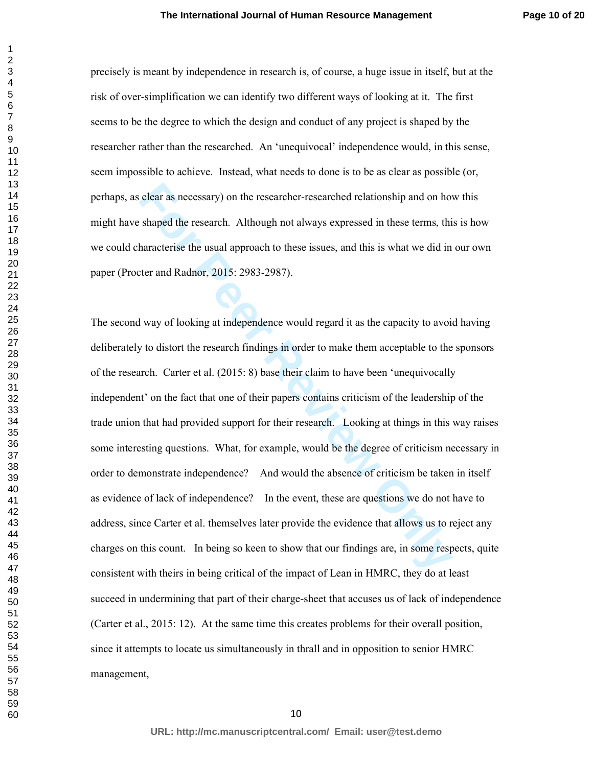precisely is meant by independence in research is, of course, a huge issue in itself, but at the risk of over-simplification we can identify two different ways of looking at it. The first seems to be the degree to which the design and conduct of any project is shaped by the researcher rather than the researched. An 'unequivocal' independence would, in this sense, seem impossible to achieve. Instead, what needs to done is to be as clear as possible (or, perhaps, as clear as necessary) on the researcher-researched relationship and on how this might have shaped the research. Although not always expressed in these terms, this is how we could characterise the usual approach to these issues, and this is what we did in our own paper (Procter and Radnor, 2015: 2983-2987).

clear as necessary) on the researcher-researched relationship and on how shaped the research. Although not always expressed in these terms, this haracterise the usual approach to these issues, and this is what we did in th The second way of looking at independence would regard it as the capacity to avoid having deliberately to distort the research findings in order to make them acceptable to the sponsors of the research. Carter et al. (2015: 8) base their claim to have been 'unequivocally independent' on the fact that one of their papers contains criticism of the leadership of the trade union that had provided support for their research. Looking at things in this way raises some interesting questions. What, for example, would be the degree of criticism necessary in order to demonstrate independence? And would the absence of criticism be taken in itself as evidence of lack of independence? In the event, these are questions we do not have to address, since Carter et al. themselves later provide the evidence that allows us to reject any charges on this count. In being so keen to show that our findings are, in some respects, quite consistent with theirs in being critical of the impact of Lean in HMRC, they do at least succeed in undermining that part of their charge-sheet that accuses us of lack of independence (Carter et al., 2015: 12). At the same time this creates problems for their overall position, since it attempts to locate us simultaneously in thrall and in opposition to senior HMRC management,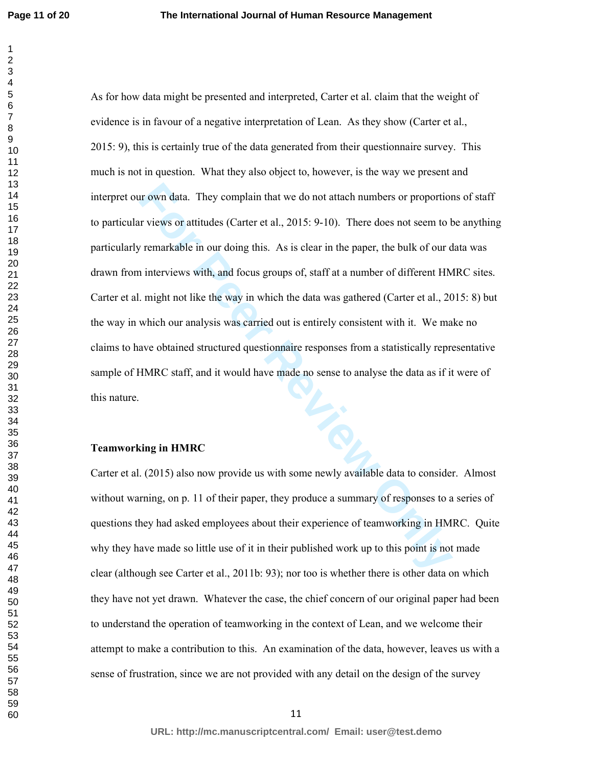It own data. They complain that we do not attach numbers or proportion<br> **For Perrony Conservant CEV** Transferience and the presents to the tem and the tem and interviews with, and focus groups of, staff at a number of diff As for how data might be presented and interpreted, Carter et al. claim that the weight of evidence is in favour of a negative interpretation of Lean. As they show (Carter et al., 2015: 9), this is certainly true of the data generated from their questionnaire survey. This much is not in question. What they also object to, however, is the way we present and interpret our own data. They complain that we do not attach numbers or proportions of staff to particular views or attitudes (Carter et al., 2015: 9-10). There does not seem to be anything particularly remarkable in our doing this. As is clear in the paper, the bulk of our data was drawn from interviews with, and focus groups of, staff at a number of different HMRC sites. Carter et al. might not like the way in which the data was gathered (Carter et al., 2015: 8) but the way in which our analysis was carried out is entirely consistent with it. We make no claims to have obtained structured questionnaire responses from a statistically representative sample of HMRC staff, and it would have made no sense to analyse the data as if it were of this nature.

#### **Teamworking in HMRC**

Carter et al. (2015) also now provide us with some newly available data to consider. Almost without warning, on p. 11 of their paper, they produce a summary of responses to a series of questions they had asked employees about their experience of teamworking in HMRC. Quite why they have made so little use of it in their published work up to this point is not made clear (although see Carter et al., 2011b: 93); nor too is whether there is other data on which they have not yet drawn. Whatever the case, the chief concern of our original paper had been to understand the operation of teamworking in the context of Lean, and we welcome their attempt to make a contribution to this. An examination of the data, however, leaves us with a sense of frustration, since we are not provided with any detail on the design of the survey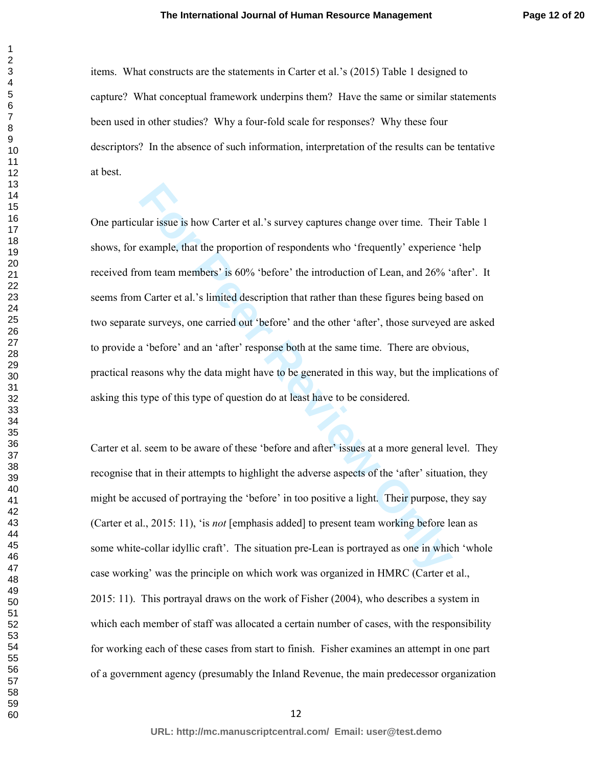items. What constructs are the statements in Carter et al.'s (2015) Table 1 designed to capture? What conceptual framework underpins them? Have the same or similar statements been used in other studies? Why a four-fold scale for responses? Why these four descriptors? In the absence of such information, interpretation of the results can be tentative at best.

alar issue is how Carter et al.'s survey captures change over time. Their<br>example, that the proportion of respondents who 'frequently' experience<br>om team members' is 60% 'before' the introduction of Lean, and 26% 't<br>a Cart One particular issue is how Carter et al.'s survey captures change over time. Their Table 1 shows, for example, that the proportion of respondents who 'frequently' experience 'help received from team members' is 60% 'before' the introduction of Lean, and 26% 'after'. It seems from Carter et al.'s limited description that rather than these figures being based on two separate surveys, one carried out 'before' and the other 'after', those surveyed are asked to provide a 'before' and an 'after' response both at the same time. There are obvious, practical reasons why the data might have to be generated in this way, but the implications of asking this type of this type of question do at least have to be considered.

Carter et al. seem to be aware of these 'before and after' issues at a more general level. They recognise that in their attempts to highlight the adverse aspects of the 'after' situation, they might be accused of portraying the 'before' in too positive a light. Their purpose, they say (Carter et al., 2015: 11), 'is *not* [emphasis added] to present team working before lean as some white-collar idyllic craft'. The situation pre-Lean is portrayed as one in which 'whole case working' was the principle on which work was organized in HMRC (Carter et al., 2015: 11). This portrayal draws on the work of Fisher (2004), who describes a system in which each member of staff was allocated a certain number of cases, with the responsibility for working each of these cases from start to finish. Fisher examines an attempt in one part of a government agency (presumably the Inland Revenue, the main predecessor organization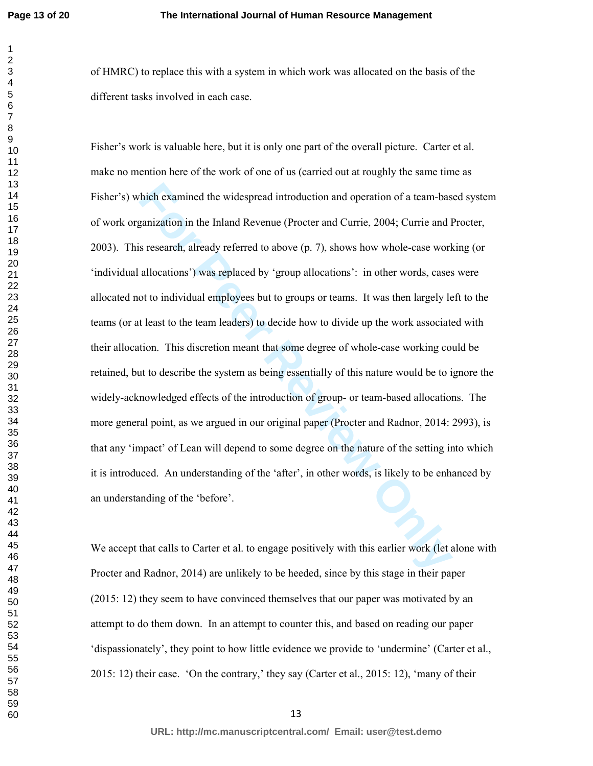of HMRC) to replace this with a system in which work was allocated on the basis of the different tasks involved in each case.

thich examined the widespread introduction and operation of a team-based paralization in the Inland Revenue (Procter and Currie, 2004; Currie and I<br>s research, already referred to above (p. 7), shows how whole-case work<br>al Fisher's work is valuable here, but it is only one part of the overall picture. Carter et al. make no mention here of the work of one of us (carried out at roughly the same time as Fisher's) which examined the widespread introduction and operation of a team-based system of work organization in the Inland Revenue (Procter and Currie, 2004; Currie and Procter, 2003). This research, already referred to above (p. 7), shows how whole-case working (or 'individual allocations') was replaced by 'group allocations': in other words, cases were allocated not to individual employees but to groups or teams. It was then largely left to the teams (or at least to the team leaders) to decide how to divide up the work associated with their allocation. This discretion meant that some degree of whole-case working could be retained, but to describe the system as being essentially of this nature would be to ignore the widely-acknowledged effects of the introduction of group- or team-based allocations. The more general point, as we argued in our original paper (Procter and Radnor, 2014: 2993), is that any 'impact' of Lean will depend to some degree on the nature of the setting into which it is introduced. An understanding of the 'after', in other words, is likely to be enhanced by an understanding of the 'before'.

We accept that calls to Carter et al. to engage positively with this earlier work (let alone with Procter and Radnor, 2014) are unlikely to be heeded, since by this stage in their paper (2015: 12) they seem to have convinced themselves that our paper was motivated by an attempt to do them down. In an attempt to counter this, and based on reading our paper 'dispassionately', they point to how little evidence we provide to 'undermine' (Carter et al., 2015: 12) their case. 'On the contrary,' they say (Carter et al., 2015: 12), 'many of their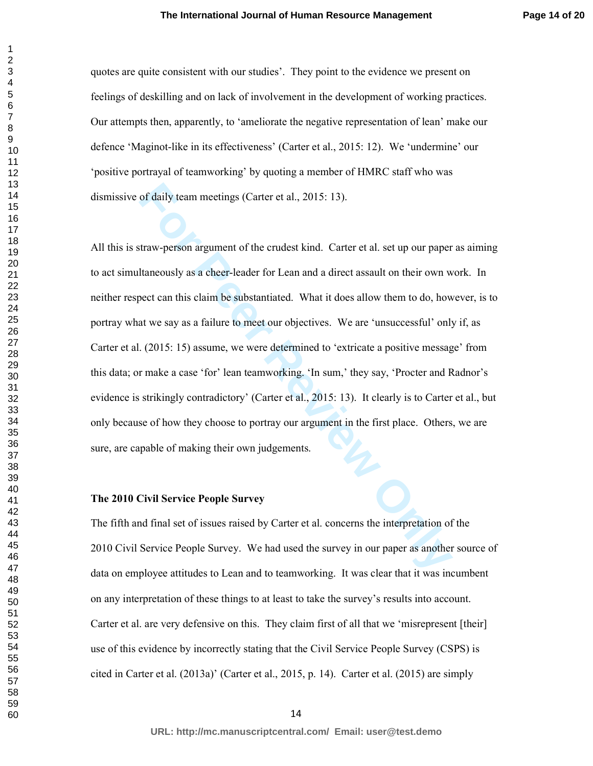quotes are quite consistent with our studies'. They point to the evidence we present on feelings of deskilling and on lack of involvement in the development of working practices. Our attempts then, apparently, to 'ameliorate the negative representation of lean' make our defence 'Maginot-like in its effectiveness' (Carter et al., 2015: 12). We 'undermine' our 'positive portrayal of teamworking' by quoting a member of HMRC staff who was dismissive of daily team meetings (Carter et al., 2015: 13).

of daily team meetings (Carter et al., 2015: 13).<br> **Example 12** trav-person argument of the crudest kind. Carter et al. set up our paper<br> **Example 12** trave-leader for Lean and a direct assault on their own we<br>
been ten th All this is straw-person argument of the crudest kind. Carter et al. set up our paper as aiming to act simultaneously as a cheer-leader for Lean and a direct assault on their own work. In neither respect can this claim be substantiated. What it does allow them to do, however, is to portray what we say as a failure to meet our objectives. We are 'unsuccessful' only if, as Carter et al. (2015: 15) assume, we were determined to 'extricate a positive message' from this data; or make a case 'for' lean teamworking. 'In sum,' they say, 'Procter and Radnor's evidence is strikingly contradictory' (Carter et al., 2015: 13). It clearly is to Carter et al., but only because of how they choose to portray our argument in the first place. Others, we are sure, are capable of making their own judgements.

#### **The 2010 Civil Service People Survey**

The fifth and final set of issues raised by Carter et al. concerns the interpretation of the 2010 Civil Service People Survey. We had used the survey in our paper as another source of data on employee attitudes to Lean and to teamworking. It was clear that it was incumbent on any interpretation of these things to at least to take the survey's results into account. Carter et al. are very defensive on this. They claim first of all that we 'misrepresent [their] use of this evidence by incorrectly stating that the Civil Service People Survey (CSPS) is cited in Carter et al. (2013a)' (Carter et al., 2015, p. 14). Carter et al. (2015) are simply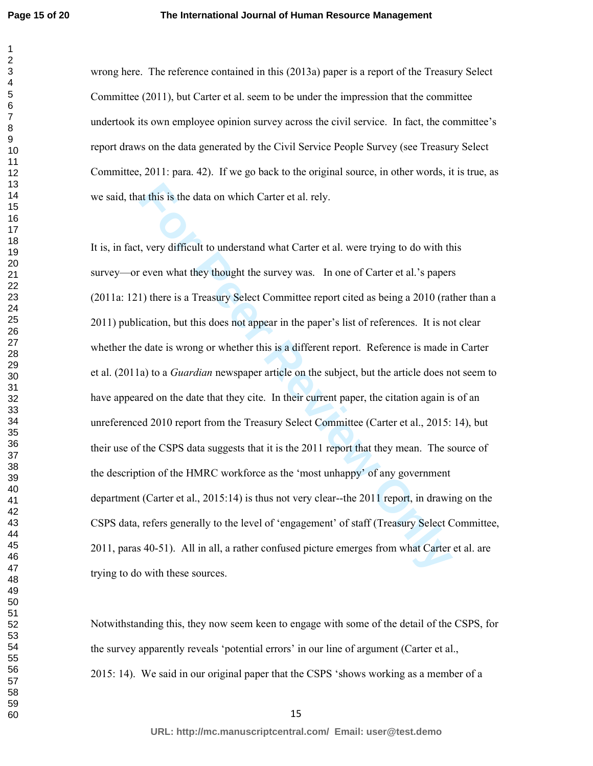#### **The International Journal of Human Resource Management**

wrong here. The reference contained in this (2013a) paper is a report of the Treasury Select Committee (2011), but Carter et al. seem to be under the impression that the committee undertook its own employee opinion survey across the civil service. In fact, the committee's report draws on the data generated by the Civil Service People Survey (see Treasury Select Committee, 2011: para. 42). If we go back to the original source, in other words, it is true, as we said, that this is the data on which Carter et al. rely.

at this is the data on which Carter et al. rely.<br> **For Peer System** they thought the survey was. In one of Carter et al.'s papers<br>
1) there is a Treasury Select Committee report cited as being a 2010 (rat<br>
review on what t It is, in fact, very difficult to understand what Carter et al. were trying to do with this survey—or even what they thought the survey was. In one of Carter et al.'s papers (2011a: 121) there is a Treasury Select Committee report cited as being a 2010 (rather than a 2011) publication, but this does not appear in the paper's list of references. It is not clear whether the date is wrong or whether this is a different report. Reference is made in Carter et al. (2011a) to a *Guardian* newspaper article on the subject, but the article does not seem to have appeared on the date that they cite. In their current paper, the citation again is of an unreferenced 2010 report from the Treasury Select Committee (Carter et al., 2015: 14), but their use of the CSPS data suggests that it is the 2011 report that they mean. The source of the description of the HMRC workforce as the 'most unhappy' of any government department (Carter et al., 2015:14) is thus not very clear--the 2011 report, in drawing on the CSPS data, refers generally to the level of 'engagement' of staff (Treasury Select Committee, 2011, paras 40-51). All in all, a rather confused picture emerges from what Carter et al. are trying to do with these sources.

Notwithstanding this, they now seem keen to engage with some of the detail of the CSPS, for the survey apparently reveals 'potential errors' in our line of argument (Carter et al., 2015: 14). We said in our original paper that the CSPS 'shows working as a member of a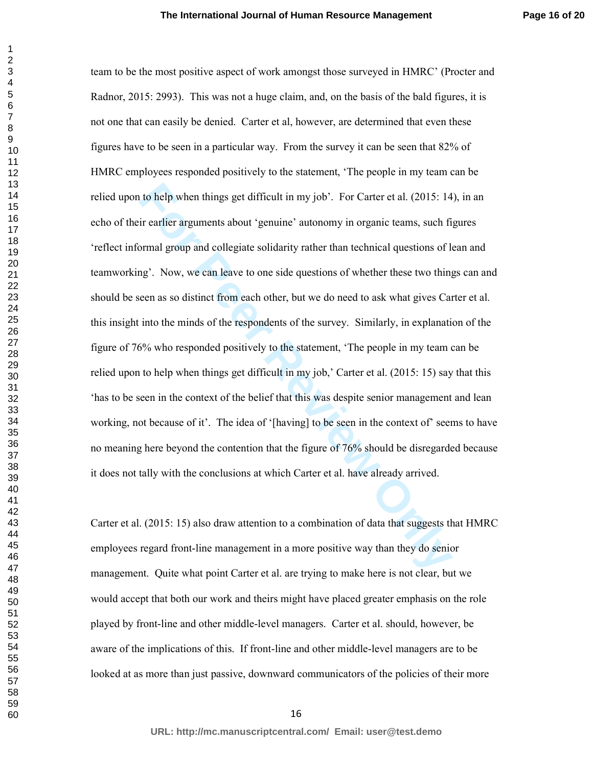to help when things get difficult in my job'. For Carter et al. (2015: 14<br>ir earlier arguments about 'genuine' autonomy in organic teams, such fi<br>ormal group and collegiate solidarity rather than technical questions of h<br>n team to be the most positive aspect of work amongst those surveyed in HMRC' (Procter and Radnor, 2015: 2993). This was not a huge claim, and, on the basis of the bald figures, it is not one that can easily be denied. Carter et al, however, are determined that even these figures have to be seen in a particular way. From the survey it can be seen that 82% of HMRC employees responded positively to the statement, 'The people in my team can be relied upon to help when things get difficult in my job'. For Carter et al. (2015: 14), in an echo of their earlier arguments about 'genuine' autonomy in organic teams, such figures 'reflect informal group and collegiate solidarity rather than technical questions of lean and teamworking'. Now, we can leave to one side questions of whether these two things can and should be seen as so distinct from each other, but we do need to ask what gives Carter et al. this insight into the minds of the respondents of the survey. Similarly, in explanation of the figure of 76% who responded positively to the statement, 'The people in my team can be relied upon to help when things get difficult in my job,' Carter et al. (2015: 15) say that this 'has to be seen in the context of the belief that this was despite senior management and lean working, not because of it'. The idea of '[having] to be seen in the context of seems to have no meaning here beyond the contention that the figure of 76% should be disregarded because it does not tally with the conclusions at which Carter et al. have already arrived.

Carter et al. (2015: 15) also draw attention to a combination of data that suggests that HMRC employees regard front-line management in a more positive way than they do senior management. Quite what point Carter et al. are trying to make here is not clear, but we would accept that both our work and theirs might have placed greater emphasis on the role played by front-line and other middle-level managers. Carter et al. should, however, be aware of the implications of this. If front-line and other middle-level managers are to be looked at as more than just passive, downward communicators of the policies of their more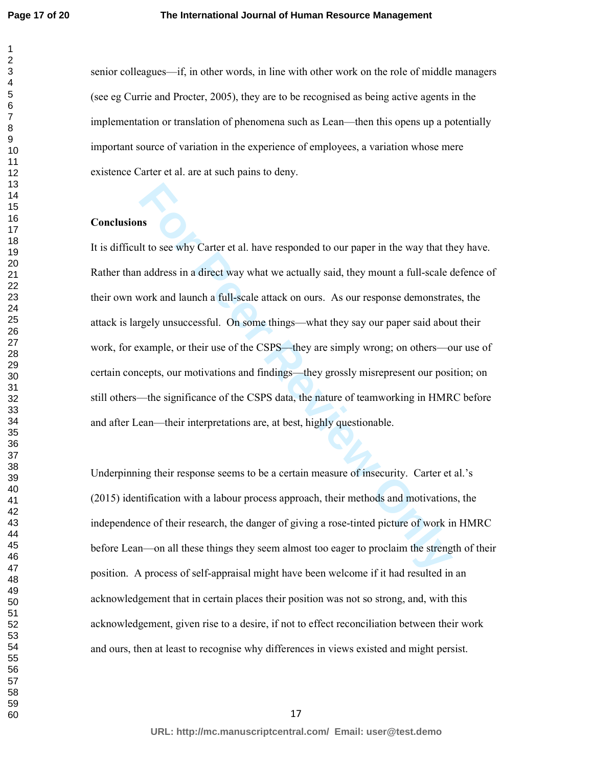**Page 17 of 20**

senior colleagues—if, in other words, in line with other work on the role of middle managers (see eg Currie and Procter, 2005), they are to be recognised as being active agents in the implementation or translation of phenomena such as Lean—then this opens up a potentially important source of variation in the experience of employees, a variation whose mere existence Carter et al. are at such pains to deny.

#### **Conclusions**

**Example 10** and a direct way what we actually said, they mount a full-scale cook and launch a direct way what we actually said, they mount a full-scale cook and launch a full-scale attack on ours. As our response demonstr It is difficult to see why Carter et al. have responded to our paper in the way that they have. Rather than address in a direct way what we actually said, they mount a full-scale defence of their own work and launch a full-scale attack on ours. As our response demonstrates, the attack is largely unsuccessful. On some things—what they say our paper said about their work, for example, or their use of the CSPS—they are simply wrong; on others—our use of certain concepts, our motivations and findings—they grossly misrepresent our position; on still others—the significance of the CSPS data, the nature of teamworking in HMRC before and after Lean—their interpretations are, at best, highly questionable.

Underpinning their response seems to be a certain measure of insecurity. Carter et al.'s (2015) identification with a labour process approach, their methods and motivations, the independence of their research, the danger of giving a rose-tinted picture of work in HMRC before Lean—on all these things they seem almost too eager to proclaim the strength of their position. A process of self-appraisal might have been welcome if it had resulted in an acknowledgement that in certain places their position was not so strong, and, with this acknowledgement, given rise to a desire, if not to effect reconciliation between their work and ours, then at least to recognise why differences in views existed and might persist.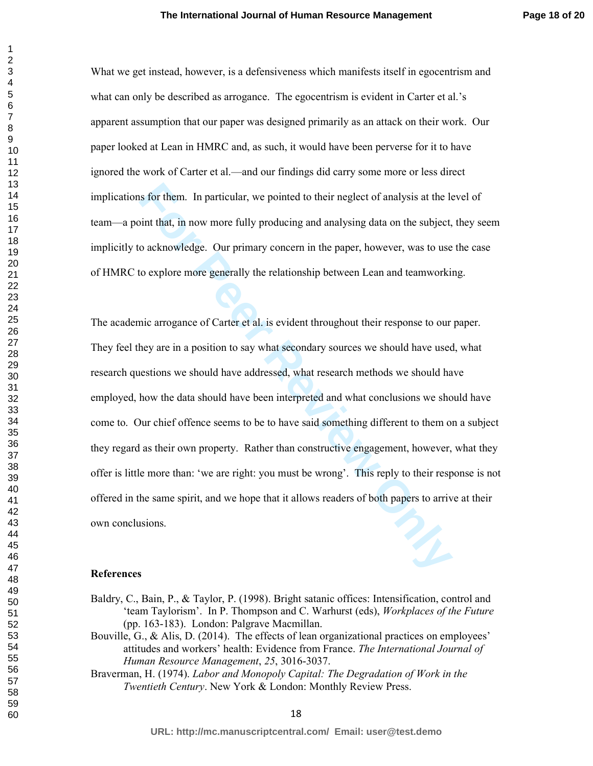What we get instead, however, is a defensiveness which manifests itself in egocentrism and what can only be described as arrogance. The egocentrism is evident in Carter et al.'s apparent assumption that our paper was designed primarily as an attack on their work. Our paper looked at Lean in HMRC and, as such, it would have been perverse for it to have ignored the work of Carter et al.—and our findings did carry some more or less direct implications for them. In particular, we pointed to their neglect of analysis at the level of team—a point that, in now more fully producing and analysing data on the subject, they seem implicitly to acknowledge. Our primary concern in the paper, however, was to use the case of HMRC to explore more generally the relationship between Lean and teamworking.

In particular, we pointed to their neglect of analysis at the learnthin that, in now more fully producing and analysing data on the subject, o acknowledge. Our primary concern in the paper, however, was to use to explore m The academic arrogance of Carter et al. is evident throughout their response to our paper. They feel they are in a position to say what secondary sources we should have used, what research questions we should have addressed, what research methods we should have employed, how the data should have been interpreted and what conclusions we should have come to. Our chief offence seems to be to have said something different to them on a subject they regard as their own property. Rather than constructive engagement, however, what they offer is little more than: 'we are right: you must be wrong'. This reply to their response is not offered in the same spirit, and we hope that it allows readers of both papers to arrive at their own conclusions.

#### **References**

- Baldry, C., Bain, P., & Taylor, P. (1998). Bright satanic offices: Intensification, control and 'team Taylorism'. In P. Thompson and C. Warhurst (eds), *Workplaces of the Future* (pp. 163-183). London: Palgrave Macmillan.
- Bouville, G., & Alis, D. (2014). The effects of lean organizational practices on employees' attitudes and workers' health: Evidence from France. *The International Journal of Human Resource Management*, *25*, 3016-3037.
- Braverman, H. (1974). *Labor and Monopoly Capital: The Degradation of Work in the Twentieth Century*. New York & London: Monthly Review Press.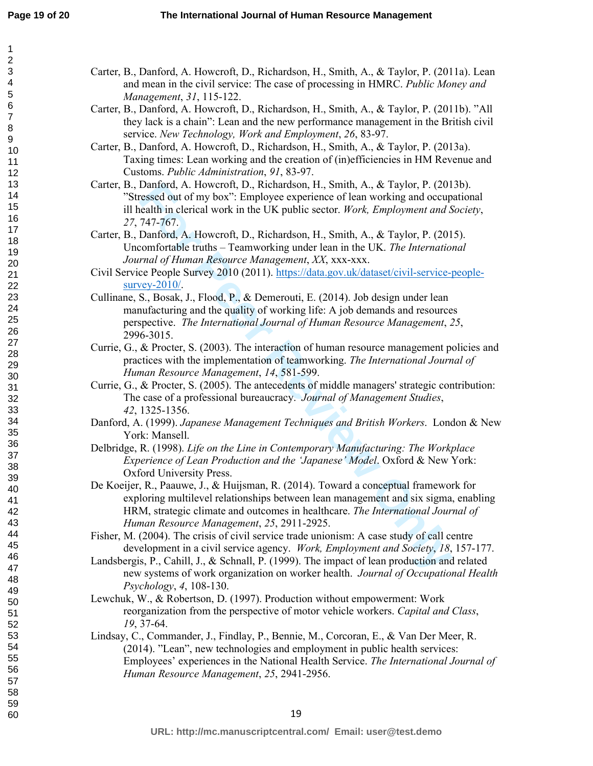60

Carter, B., Danford, A. Howcroft, D., Richardson, H., Smith, A., & Taylor, P. (2011a). Lean and mean in the civil service: The case of processing in HMRC. *Public Money and Management*, *31*, 115-122.

- Carter, B., Danford, A. Howcroft, D., Richardson, H., Smith, A., & Taylor, P. (2011b). "All they lack is a chain": Lean and the new performance management in the British civil service. *New Technology, Work and Employment*, *26*, 83-97.
- Carter, B., Danford, A. Howcroft, D., Richardson, H., Smith, A., & Taylor, P. (2013a). Taxing times: Lean working and the creation of (in)efficiencies in HM Revenue and Customs. *Public Administration*, *91*, 83-97.
- Carter, B., Danford, A. Howcroft, D., Richardson, H., Smith, A., & Taylor, P. (2013b). "Stressed out of my box": Employee experience of lean working and occupational ill health in clerical work in the UK public sector. *Work, Employment and Society*, *27*, 747-767.
- Carter, B., Danford, A. Howcroft, D., Richardson, H., Smith, A., & Taylor, P. (2015). Uncomfortable truths – Teamworking under lean in the UK. *The International Journal of Human Resource Management*, *XX*, xxx-xxx.
- Civil Service People Survey 2010 (2011). https://data.gov.uk/dataset/civil-service-peoplesurvey-2010/.
- Cullinane, S., Bosak, J., Flood, P., & Demerouti, E. (2014). Job design under lean manufacturing and the quality of working life: A job demands and resources perspective. *The International Journal of Human Resource Management*, *25*, 2996-3015.
- Currie, G., & Procter, S. (2003). The interaction of human resource management policies and practices with the implementation of teamworking. *The International Journal of Human Resource Management*, *14*, 581-599.
- Currie, G., & Procter, S. (2005). The antecedents of middle managers' strategic contribution: The case of a professional bureaucracy. *Journal of Management Studies*, *42*, 1325-1356.
- Danford, A. (1999). *Japanese Management Techniques and British Workers*. London & New York: Mansell.
- Delbridge, R. (1998). *Life on the Line in Contemporary Manufacturing: The Workplace Experience of Lean Production and the 'Japanese' Model*. Oxford & New York: Oxford University Press.
- Dantord, A. Howcrott, D., Richardson, H., Smith, A., & Taylor, P. (201<br>
ersested out of my box": Employee experience of lean working and occup<br>
reased out of my box": Employee experience of lean working and occup<br>
readth i De Koeijer, R., Paauwe, J., & Huijsman, R. (2014). Toward a conceptual framework for exploring multilevel relationships between lean management and six sigma, enabling HRM, strategic climate and outcomes in healthcare. *The International Journal of Human Resource Management*, *25*, 2911-2925.
- Fisher, M. (2004). The crisis of civil service trade unionism: A case study of call centre development in a civil service agency. *Work, Employment and Society*, *18*, 157-177.
- Landsbergis, P., Cahill, J., & Schnall, P. (1999). The impact of lean production and related new systems of work organization on worker health. *Journal of Occupational Health Psychology*, *4*, 108-130.
- Lewchuk, W., & Robertson, D. (1997). Production without empowerment: Work reorganization from the perspective of motor vehicle workers. *Capital and Class*, *19*, 37-64.
- Lindsay, C., Commander, J., Findlay, P., Bennie, M., Corcoran, E., & Van Der Meer, R. (2014). "Lean", new technologies and employment in public health services: Employees' experiences in the National Health Service. *The International Journal of Human Resource Management*, *25*, 2941-2956.